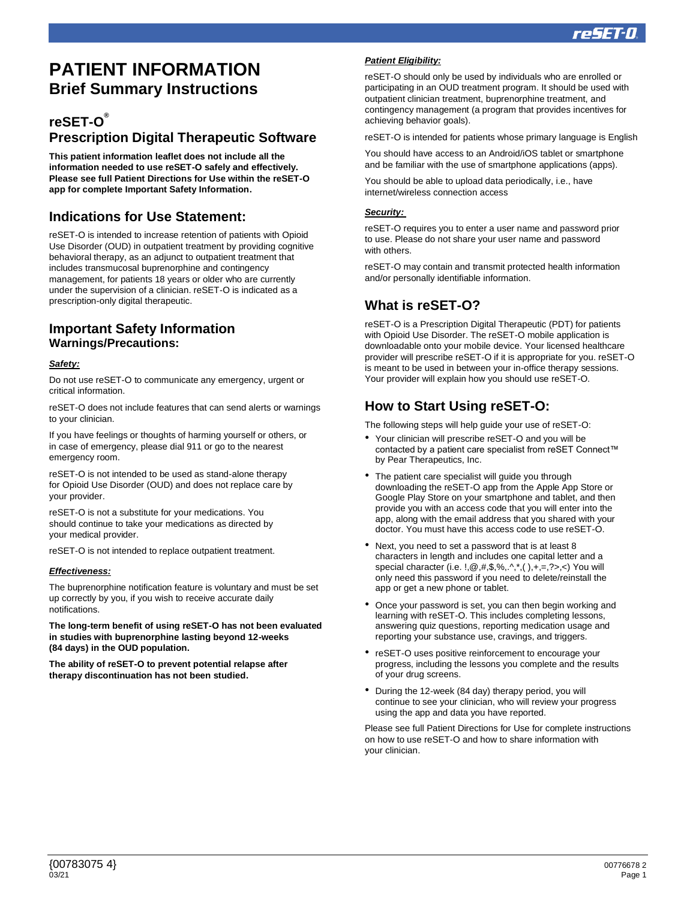# **PATIENT INFORMATION Brief Summary Instructions**

# **reSET-O ® Prescription Digital Therapeutic Software**

**This patient information leaflet does not include all the information needed to use reSET-O safely and effectively. Please see full Patient Directions for Use within the reSET-O app for complete Important Safety Information.**

### **Indications for Use Statement:**

reSET-O is intended to increase retention of patients with Opioid Use Disorder (OUD) in outpatient treatment by providing cognitive behavioral therapy, as an adjunct to outpatient treatment that includes transmucosal buprenorphine and contingency management, for patients 18 years or older who are currently under the supervision of a clinician. reSET-O is indicated as a prescription-only digital therapeutic.

### **Important Safety Information Warnings/Precautions:**

#### *Safety:*

Do not use reSET-O to communicate any emergency, urgent or critical information.

reSET-O does not include features that can send alerts or warnings to your clinician.

If you have feelings or thoughts of harming yourself or others, or in case of emergency, please dial 911 or go to the nearest emergency room.

reSET-O is not intended to be used as stand-alone therapy for Opioid Use Disorder (OUD) and does not replace care by your provider.

reSET-O is not a substitute for your medications. You should continue to take your medications as directed by your medical provider.

reSET-O is not intended to replace outpatient treatment.

#### *Effectiveness:*

The buprenorphine notification feature is voluntary and must be set up correctly by you, if you wish to receive accurate daily notifications.

**The long-term benefit of using reSET-O has not been evaluated in studies with buprenorphine lasting beyond 12-weeks (84 days) in the OUD population.** 

**The ability of reSET-O to prevent potential relapse after therapy discontinuation has not been studied.**

#### *Patient Eligibility:*

reSET-O should only be used by individuals who are enrolled or participating in an OUD treatment program. It should be used with outpatient clinician treatment, buprenorphine treatment, and contingency management (a program that provides incentives for achieving behavior goals).

reSET-O is intended for patients whose primary language is English

You should have access to an Android/iOS tablet or smartphone and be familiar with the use of smartphone applications (apps).

You should be able to upload data periodically, i.e., have internet/wireless connection access

#### *Security:*

reSET-O requires you to enter a user name and password prior to use. Please do not share your user name and password with others.

reSET-O may contain and transmit protected health information and/or personally identifiable information.

# **What is reSET-O?**

reSET-O is a Prescription Digital Therapeutic (PDT) for patients with Opioid Use Disorder. The reSET-O mobile application is downloadable onto your mobile device. Your licensed healthcare provider will prescribe reSET-O if it is appropriate for you. reSET-O is meant to be used in between your in-office therapy sessions. Your provider will explain how you should use reSET-O.

### **How to Start Using reSET-O:**

The following steps will help guide your use of reSET-O:

- Your clinician will prescribe reSET-O and you will be contacted by a patient care specialist from reSET Connect™ by Pear Therapeutics, Inc.
- The patient care specialist will guide you through downloading the reSET-O app from the Apple App Store or Google Play Store on your smartphone and tablet, and then provide you with an access code that you will enter into the app, along with the email address that you shared with your doctor. You must have this access code to use reSET-O.
- Next, you need to set a password that is at least 8 characters in length and includes one capital letter and a special character (i.e. !,@,#,\$,%,.^,\*,( ),+,=,?>,<) You will only need this password if you need to delete/reinstall the app or get a new phone or tablet.
- Once your password is set, you can then begin working and learning with reSET-O. This includes completing lessons, answering quiz questions, reporting medication usage and reporting your substance use, cravings, and triggers.
- reSET-O uses positive reinforcement to encourage your progress, including the lessons you complete and the results of your drug screens.
- During the 12-week (84 day) therapy period, you will continue to see your clinician, who will review your progress using the app and data you have reported.

Please see full Patient Directions for Use for complete instructions on how to use reSET-O and how to share information with your clinician.